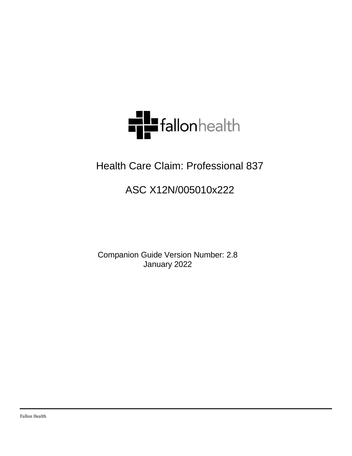

# Health Care Claim: Professional 837

# ASC X12N/005010x222

<span id="page-0-0"></span>Companion Guide Version Number: 2.8 January 2022

Fallon Health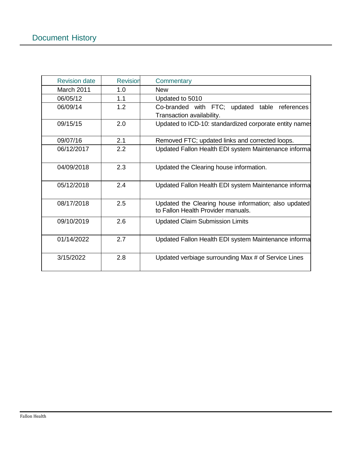| <b>Revision date</b> | <b>Revision</b> | Commentary                                                                                 |  |  |  |
|----------------------|-----------------|--------------------------------------------------------------------------------------------|--|--|--|
| <b>March 2011</b>    | 1.0             | <b>New</b>                                                                                 |  |  |  |
| 06/05/12             | 1.1             | Updated to 5010                                                                            |  |  |  |
| 06/09/14             | 1.2             | Co-branded with FTC; updated table references<br>Transaction availability.                 |  |  |  |
| 09/15/15             | 2.0             | Updated to ICD-10: standardized corporate entity names                                     |  |  |  |
| 09/07/16             | 2.1             | Removed FTC; updated links and corrected loops.                                            |  |  |  |
| 06/12/2017           | 2.2             | Updated Fallon Health EDI system Maintenance informa                                       |  |  |  |
| 04/09/2018           | 2.3             | Updated the Clearing house information.                                                    |  |  |  |
| 05/12/2018           | 2.4             | Updated Fallon Health EDI system Maintenance informa                                       |  |  |  |
| 08/17/2018           | 2.5             | Updated the Clearing house information; also updated<br>to Fallon Health Provider manuals. |  |  |  |
| 09/10/2019           | 2.6             | <b>Updated Claim Submission Limits</b>                                                     |  |  |  |
| 01/14/2022           | 2.7             | Updated Fallon Health EDI system Maintenance informa                                       |  |  |  |
| 3/15/2022            | 2.8             | Updated verbiage surrounding Max # of Service Lines                                        |  |  |  |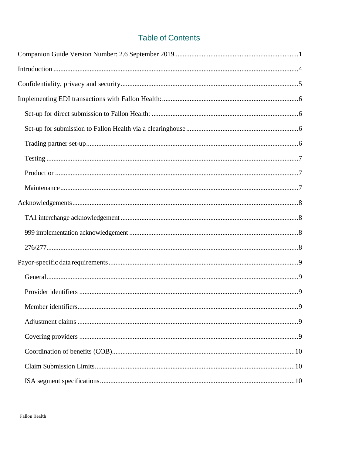# **Table of Contents**

| 9 |
|---|
|   |
|   |
|   |
|   |
|   |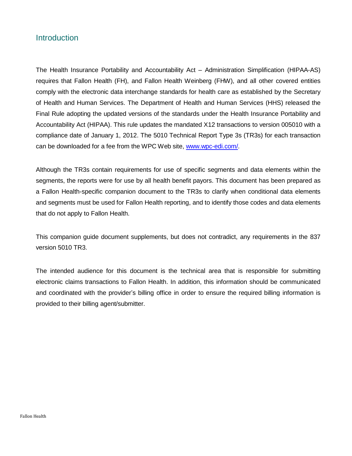### <span id="page-3-0"></span>**Introduction**

The Health Insurance Portability and Accountability Act – Administration Simplification (HIPAA-AS) requires that Fallon Health (FH), and Fallon Health Weinberg (FHW), and all other covered entities comply with the electronic data interchange standards for health care as established by the Secretary of Health and Human Services. The Department of Health and Human Services (HHS) released the Final Rule adopting the updated versions of the standards under the Health Insurance Portability and Accountability Act (HIPAA). This rule updates the mandated X12 transactions to version 005010 with a compliance date of January 1, 2012. The 5010 Technical Report Type 3s (TR3s) for each transaction can be downloaded for a fee from the WPC Web site, [www.wpc-edi.com/.](http://www.wpc-edi.com/)

Although the TR3s contain requirements for use of specific segments and data elements within the segments, the reports were for use by all health benefit payors. This document has been prepared as a Fallon Health-specific companion document to the TR3s to clarify when conditional data elements and segments must be used for Fallon Health reporting, and to identify those codes and data elements that do not apply to Fallon Health.

This companion guide document supplements, but does not contradict, any requirements in the 837 version 5010 TR3.

The intended audience for this document is the technical area that is responsible for submitting electronic claims transactions to Fallon Health. In addition, this information should be communicated and coordinated with the provider's billing office in order to ensure the required billing information is provided to their billing agent/submitter.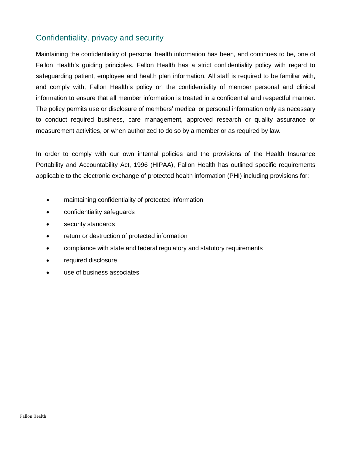## <span id="page-4-0"></span>Confidentiality, privacy and security

Maintaining the confidentiality of personal health information has been, and continues to be, one of Fallon Health's guiding principles. Fallon Health has a strict confidentiality policy with regard to safeguarding patient, employee and health plan information. All staff is required to be familiar with, and comply with, Fallon Health's policy on the confidentiality of member personal and clinical information to ensure that all member information is treated in a confidential and respectful manner. The policy permits use or disclosure of members' medical or personal information only as necessary to conduct required business, care management, approved research or quality assurance or measurement activities, or when authorized to do so by a member or as required by law.

In order to comply with our own internal policies and the provisions of the Health Insurance Portability and Accountability Act, 1996 (HIPAA), Fallon Health has outlined specific requirements applicable to the electronic exchange of protected health information (PHI) including provisions for:

- maintaining confidentiality of protected information
- confidentiality safeguards
- security standards
- return or destruction of protected information
- compliance with state and federal regulatory and statutory requirements
- required disclosure
- use of business associates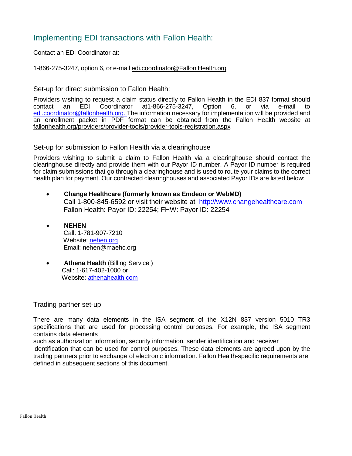### <span id="page-5-0"></span>Implementing EDI transactions with Fallon Health:

Contact an EDI Coordinator at:

1-866-275-3247, option 6, or e-mail edi.coordinator@Fallon Health.org

<span id="page-5-1"></span>Set-up for direct submission to Fallon Health:

Providers wishing to request a claim status directly to Fallon Health in the EDI 837 format should contact an EDI Coordinator at1-866-275-3247, Option 6, or via e-mail to [edi.coordinator@fallonhealth.org.](mailto:edi.coordinator@fallonhealth.org) The information necessary for implementation will be provided and an enrollment packet in PDF format can be obtained from the Fallon Health website at [fallonhealth.org/providers/provider-tools/provider-tools-registration.aspx](http://www.fchp.org/providers/provider-tools/provider-tools-registration.aspx)

<span id="page-5-2"></span>Set-up for submission to Fallon Health via a clearinghouse

Providers wishing to submit a claim to Fallon Health via a clearinghouse should contact the clearinghouse directly and provide them with our Payor ID number. A Payor ID number is required for claim submissions that go through a clearinghouse and is used to route your claims to the correct health plan for payment. Our contracted clearinghouses and associated Payor IDs are listed below:

- **Change Healthcare (formerly known as Emdeon or WebMD)** Call 1-800-845-6592 or visit their website at [http://www.changehealthcare.com](http://www.changehealthcare.com/) Fallon Health: Payor ID: 22254; FHW: Payor ID: 22254
- **NEHEN** Call: 1-781-907-7210 Website:<nehen.org> Email: [nehen@maehc.org](mailto:nehen@maehc.org)
- **Athena Health** (Billing Service ) Call: 1-617-402-1000 or Website:<athenahealth.com>

### <span id="page-5-3"></span>Trading partner set-up

There are many data elements in the ISA segment of the X12N 837 version 5010 TR3 specifications that are used for processing control purposes. For example, the ISA segment contains data elements

such as authorization information, security information, sender identification and receiver

identification that can be used for control purposes. These data elements are agreed upon by the trading partners prior to exchange of electronic information. Fallon Health-specific requirements are defined in subsequent sections of this document.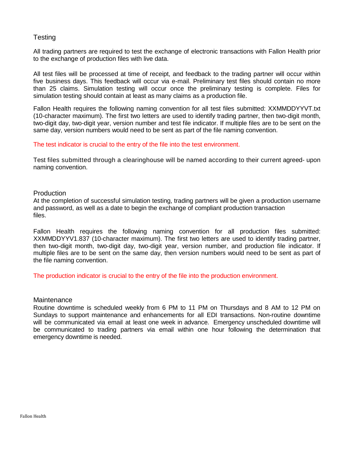### <span id="page-6-0"></span>**Testing**

All trading partners are required to test the exchange of electronic transactions with Fallon Health prior to the exchange of production files with live data.

All test files will be processed at time of receipt, and feedback to the trading partner will occur within five business days. This feedback will occur via e-mail. Preliminary test files should contain no more than 25 claims. Simulation testing will occur once the preliminary testing is complete. Files for simulation testing should contain at least as many claims as a production file.

Fallon Health requires the following naming convention for all test files submitted: XXMMDDYYVT.txt (10-character maximum). The first two letters are used to identify trading partner, then two-digit month, two-digit day, two-digit year, version number and test file indicator. If multiple files are to be sent on the same day, version numbers would need to be sent as part of the file naming convention.

### The test indicator is crucial to the entry of the file into the test environment.

Test files submitted through a clearinghouse will be named according to their current agreed- upon naming convention.

### <span id="page-6-1"></span>**Production**

At the completion of successful simulation testing, trading partners will be given a production username and password, as well as a date to begin the exchange of compliant production transaction files.

Fallon Health requires the following naming convention for all production files submitted: XXMMDDYYV1.837 (10-character maximum). The first two letters are used to identify trading partner, then two-digit month, two-digit day, two-digit year, version number, and production file indicator. If multiple files are to be sent on the same day, then version numbers would need to be sent as part of the file naming convention.

The production indicator is crucial to the entry of the file into the production environment.

#### <span id="page-6-2"></span>**Maintenance**

Routine downtime is scheduled weekly from 6 PM to 11 PM on Thursdays and 8 AM to 12 PM on Sundays to support maintenance and enhancements for all EDI transactions. Non-routine downtime will be communicated via email at least one week in advance. Emergency unscheduled downtime will be communicated to trading partners via email within one hour following the determination that emergency downtime is needed.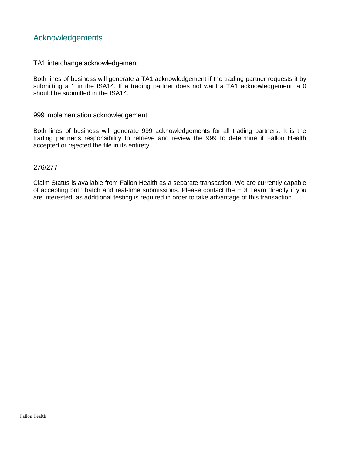### <span id="page-7-0"></span>Acknowledgements

### <span id="page-7-1"></span>TA1 interchange acknowledgement

Both lines of business will generate a TA1 acknowledgement if the trading partner requests it by submitting a 1 in the ISA14. If a trading partner does not want a TA1 acknowledgement, a 0 should be submitted in the ISA14.

#### <span id="page-7-2"></span>999 implementation acknowledgement

Both lines of business will generate 999 acknowledgements for all trading partners. It is the trading partner's responsibility to retrieve and review the 999 to determine if Fallon Health accepted or rejected the file in its entirety.

### <span id="page-7-3"></span>276/277

Claim Status is available from Fallon Health as a separate transaction. We are currently capable of accepting both batch and real-time submissions. Please contact the EDI Team directly if you are interested, as additional testing is required in order to take advantage of this transaction.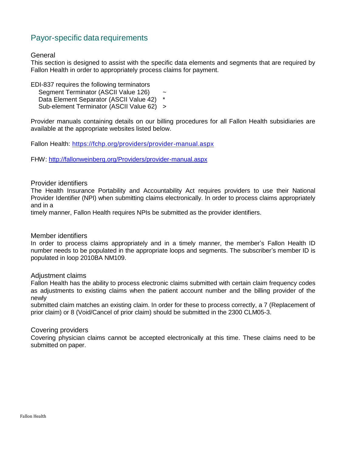### <span id="page-8-0"></span>Payor-specific data requirements

### <span id="page-8-1"></span>General

This section is designed to assist with the specific data elements and segments that are required by Fallon Health in order to appropriately process claims for payment.

EDI-837 requires the following terminators

Segment Terminator (ASCII Value 126) Data Element Separator (ASCII Value 42) \*

Sub-element Terminator (ASCII Value 62) >

Provider manuals containing details on our billing procedures for all Fallon Health subsidiaries are available at the appropriate websites listed below.

Fallon Health: <https://fchp.org/providers/provider-manual.aspx>

FHW: <http://fallonweinberg.org/Providers/provider-manual.aspx>

### <span id="page-8-2"></span>Provider identifiers

The Health Insurance Portability and Accountability Act requires providers to use their National Provider Identifier (NPI) when submitting claims electronically. In order to process claims appropriately and in a

timely manner, Fallon Health requires NPIs be submitted as the provider identifiers.

### <span id="page-8-3"></span>Member identifiers

In order to process claims appropriately and in a timely manner, the member's Fallon Health ID number needs to be populated in the appropriate loops and segments. The subscriber's member ID is populated in loop 2010BA NM109.

### <span id="page-8-4"></span>Adjustment claims

Fallon Health has the ability to process electronic claims submitted with certain claim frequency codes as adjustments to existing claims when the patient account number and the billing provider of the newly

submitted claim matches an existing claim. In order for these to process correctly, a 7 (Replacement of prior claim) or 8 (Void/Cancel of prior claim) should be submitted in the 2300 CLM05-3.

### <span id="page-8-5"></span>Covering providers

Covering physician claims cannot be accepted electronically at this time. These claims need to be submitted on paper.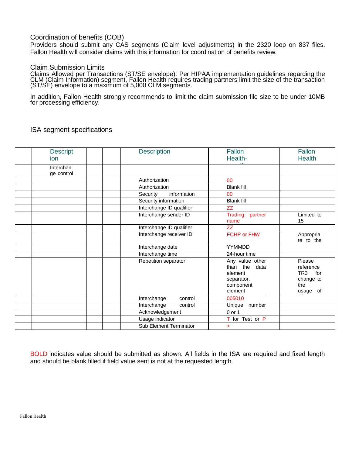### <span id="page-9-0"></span>Coordination of benefits (COB)

Providers should submit any CAS segments (Claim level adjustments) in the 2320 loop on 837 files. Fallon Health will consider claims with this information for coordination of benefits review.

### <span id="page-9-1"></span>Claim Submission Limits

Claims Allowed per Transactions (ST/SE envelope): Per HIPAA implementation guidelines regarding the CLM (Claim Information) segment, Fallon Health requires trading partners limit the size of the transaction (ST/SE) envelope to a maximum of 5,000 CLM segments.

In addition, Fallon Health strongly recommends to limit the claim submission file size to be under 10MB for processing efficiency.

| <b>Descript</b>         | <b>Description</b>       | Fallon                                                                               | Fallon                                                                        |
|-------------------------|--------------------------|--------------------------------------------------------------------------------------|-------------------------------------------------------------------------------|
| ion                     |                          | Health-                                                                              | <b>Health</b>                                                                 |
| Interchan<br>ge control |                          |                                                                                      |                                                                               |
|                         | Authorization            | 00                                                                                   |                                                                               |
|                         | Authorization            | <b>Blank fill</b>                                                                    |                                                                               |
|                         | information<br>Security  | 00                                                                                   |                                                                               |
|                         | Security information     | <b>Blank fill</b>                                                                    |                                                                               |
|                         | Interchange ID qualifier | ZZ                                                                                   |                                                                               |
|                         | Interchange sender ID    | <b>Trading</b><br>partner<br>name                                                    | Limited to<br>15                                                              |
|                         | Interchange ID qualifier | <b>ZZ</b>                                                                            |                                                                               |
|                         | Interchange receiver ID  | <b>FCHP or FHW</b>                                                                   | Appropria<br>te to the                                                        |
|                         | Interchange date         | YYMMDD                                                                               |                                                                               |
|                         | Interchange time         | 24-hour time                                                                         |                                                                               |
|                         | Repetition separator     | Any value other<br>than the<br>data<br>element<br>separator,<br>component<br>element | Please<br>reference<br>TR <sub>3</sub><br>for<br>change to<br>the<br>usage of |
|                         | Interchange<br>control   | 005010                                                                               |                                                                               |
|                         | Interchange<br>control   | Unique number                                                                        |                                                                               |
|                         | Acknowledgement          | 0 or 1                                                                               |                                                                               |
|                         | Usage indicator          | T for Test or P                                                                      |                                                                               |
|                         | Sub Element Terminator   | $\geq$                                                                               |                                                                               |

### <span id="page-9-2"></span>ISA segment specifications

BOLD indicates value should be submitted as shown. All fields in the ISA are required and fixed length and should be blank filled if field value sent is not at the requested length.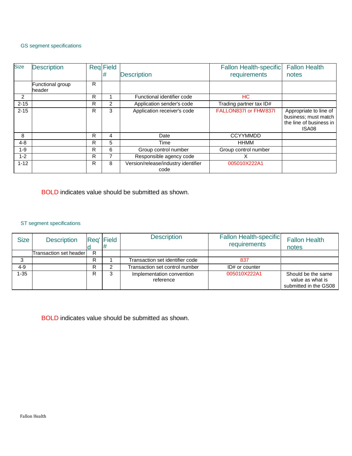#### GS segment specifications

| <b>Size</b> | <b>Description</b>         |   | <b>Reg</b> Field<br># | <b>Description</b>                                   | <b>Fallon Health-specific</b><br>requirements | <b>Fallon Health</b><br>notes                                                      |
|-------------|----------------------------|---|-----------------------|------------------------------------------------------|-----------------------------------------------|------------------------------------------------------------------------------------|
|             | Functional group<br>header | R |                       |                                                      |                                               |                                                                                    |
| 2           |                            | R |                       | Functional identifier code<br>HC.                    |                                               |                                                                                    |
| $2 - 15$    |                            | R | $\overline{2}$        | Application sender's code                            | Trading partner tax ID#                       |                                                                                    |
| $2 - 15$    |                            | R | 3                     | Application receiver's code<br>FALLON837I or FHW837I |                                               | Appropriate to line of<br>business; must match<br>the line of business in<br>ISA08 |
| 8           |                            | R | 4                     | Date                                                 | <b>CCYYMMDD</b>                               |                                                                                    |
| $4 - 8$     |                            | R | 5                     | Time                                                 | <b>HHMM</b>                                   |                                                                                    |
| $1 - 9$     |                            | R | 6                     | Group control number                                 | Group control number                          |                                                                                    |
| $1 - 2$     |                            | R | 7                     | Responsible agency code<br>x                         |                                               |                                                                                    |
| $1 - 12$    |                            | R | 8                     | Version/release/industry identifier<br>code          | 005010X222A1                                  |                                                                                    |

BOLD indicates value should be submitted as shown.

### ST segment specifications

| <b>Size</b> | <b>Description</b>     | Rea' | <b>Field</b> | <b>Description</b>                                     | <b>Fallon Health-specific</b><br>requirements | <b>Fallon Health</b><br>notes                                   |
|-------------|------------------------|------|--------------|--------------------------------------------------------|-----------------------------------------------|-----------------------------------------------------------------|
|             | Transaction set header | R    |              |                                                        |                                               |                                                                 |
|             |                        | R    |              | Transaction set identifier code<br>837                 |                                               |                                                                 |
| 4-9         |                        | R    | ົ            | Transaction set control number                         | ID# or counter                                |                                                                 |
| 1-35        |                        | R    | 3            | 005010X222A1<br>Implementation convention<br>reference |                                               | Should be the same<br>value as what is<br>submitted in the GS08 |

BOLD indicates value should be submitted as shown.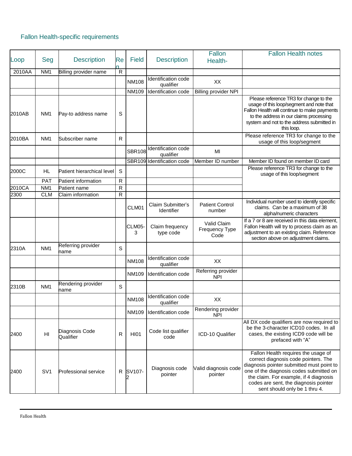## Fallon Health-specific requirements

| Loop   | Seg             | <b>Description</b>          | Re          | <b>Field</b>  | <b>Description</b>               | Fallon<br>Health-                            | <b>Fallon Health notes</b>                                                                                                                                                                                                                                                              |
|--------|-----------------|-----------------------------|-------------|---------------|----------------------------------|----------------------------------------------|-----------------------------------------------------------------------------------------------------------------------------------------------------------------------------------------------------------------------------------------------------------------------------------------|
| 2010AA | NM <sub>1</sub> | Billing provider name       | ${\sf R}$   |               |                                  |                                              |                                                                                                                                                                                                                                                                                         |
|        |                 |                             |             |               | Identification code              |                                              |                                                                                                                                                                                                                                                                                         |
|        |                 |                             |             | <b>NM108</b>  | qualifier                        | XX                                           |                                                                                                                                                                                                                                                                                         |
|        |                 |                             |             | <b>NM109</b>  | Identification code              | <b>Billing provider NPI</b>                  |                                                                                                                                                                                                                                                                                         |
| 2010AB | NM <sub>1</sub> | Pay-to address name         | S           |               |                                  |                                              | Please reference TR3 for change to the<br>usage of this loop/segment and note that<br>Fallon Health will continue to make payments<br>to the address in our claims processing<br>system and not to the address submitted in<br>this loop.                                               |
| 2010BA | NM <sub>1</sub> | Subscriber name             | ${\sf R}$   |               |                                  |                                              | Please reference TR3 for change to the<br>usage of this loop/segment                                                                                                                                                                                                                    |
|        |                 |                             |             | <b>SBR108</b> | Identification code<br>qualifier | MI                                           |                                                                                                                                                                                                                                                                                         |
|        |                 |                             |             |               | SBR109 Identification code       | Member ID number                             | Member ID found on member ID card                                                                                                                                                                                                                                                       |
| 2000C  | HL.             | Patient hierarchical level  | S           |               |                                  |                                              | Please reference TR3 for change to the<br>usage of this loop/segment                                                                                                                                                                                                                    |
|        | PAT             | Patient information         | R           |               |                                  |                                              |                                                                                                                                                                                                                                                                                         |
| 2010CA | NM <sub>1</sub> | Patient name                | R           |               |                                  |                                              |                                                                                                                                                                                                                                                                                         |
| 2300   | <b>CLM</b>      | Claim information           | R           |               |                                  |                                              |                                                                                                                                                                                                                                                                                         |
|        |                 |                             |             | CLM01         | Claim Submitter's<br>Identifier  | <b>Patient Control</b><br>number             | Individual number used to identify specific<br>claims. Can be a maximum of 38<br>alpha/numeric characters                                                                                                                                                                               |
|        |                 |                             |             | CLM05-<br>3   | Claim frequency<br>type code     | Valid Claim<br><b>Frequency Type</b><br>Code | If a 7 or 8 are received in this data element,<br>Fallon Health will try to process claim as an<br>adjustment to an existing claim. Reference<br>section above on adjustment claims.                                                                                                    |
| 2310A  | NM <sub>1</sub> | Referring provider<br>name  | S           |               |                                  |                                              |                                                                                                                                                                                                                                                                                         |
|        |                 |                             |             | <b>NM108</b>  | Identification code<br>qualifier | XX                                           |                                                                                                                                                                                                                                                                                         |
|        |                 |                             |             | <b>NM109</b>  | Identification code              | Referring provider<br><b>NPI</b>             |                                                                                                                                                                                                                                                                                         |
| 2310B  | NM <sub>1</sub> | Rendering provider<br>name  | $\mathsf S$ |               |                                  |                                              |                                                                                                                                                                                                                                                                                         |
|        |                 |                             |             | <b>NM108</b>  | Identification code<br>qualifier | XX                                           |                                                                                                                                                                                                                                                                                         |
|        |                 |                             |             | NM109         | Identification code              | Rendering provider<br><b>NPI</b>             |                                                                                                                                                                                                                                                                                         |
| 2400   | HI              | Diagnosis Code<br>Qualifier | R           | <b>HI01</b>   | Code list qualifier<br>code      | ICD-10 Qualifier                             | All DX code qualifiers are now required to<br>be the 3-character ICD10 codes. In all<br>cases, the existing ICD9 code will be<br>prefaced with "A"                                                                                                                                      |
| 2400   | SV <sub>1</sub> | <b>Professional service</b> | R           | SV107-<br>2   | Diagnosis code<br>pointer        | Valid diagnosis code<br>pointer              | Fallon Health requires the usage of<br>correct diagnosis code pointers. The<br>diagnosis pointer submitted must point to<br>one of the diagnosis codes submitted on<br>the claim. For example, if 4 diagnosis<br>codes are sent, the diagnosis pointer<br>sent should only be 1 thru 4. |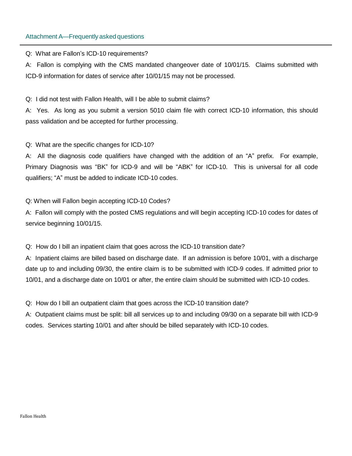### Attachment A—Frequently asked questions

Q: What are Fallon's ICD-10 requirements?

A: Fallon is complying with the CMS mandated changeover date of 10/01/15. Claims submitted with ICD-9 information for dates of service after 10/01/15 may not be processed.

Q: I did not test with Fallon Health, will I be able to submit claims?

A: Yes. As long as you submit a version 5010 claim file with correct ICD-10 information, this should pass validation and be accepted for further processing.

Q: What are the specific changes for ICD-10?

A: All the diagnosis code qualifiers have changed with the addition of an "A" prefix. For example, Primary Diagnosis was "BK" for ICD-9 and will be "ABK" for ICD-10. This is universal for all code qualifiers; "A" must be added to indicate ICD-10 codes.

Q: When will Fallon begin accepting ICD-10 Codes?

A: Fallon will comply with the posted CMS regulations and will begin accepting ICD-10 codes for dates of service beginning 10/01/15.

Q: How do I bill an inpatient claim that goes across the ICD-10 transition date?

A: Inpatient claims are billed based on discharge date. If an admission is before 10/01, with a discharge date up to and including 09/30, the entire claim is to be submitted with ICD-9 codes. If admitted prior to 10/01, and a discharge date on 10/01 or after, the entire claim should be submitted with ICD-10 codes.

Q: How do I bill an outpatient claim that goes across the ICD-10 transition date?

A: Outpatient claims must be split: bill all services up to and including 09/30 on a separate bill with ICD-9 codes. Services starting 10/01 and after should be billed separately with ICD-10 codes.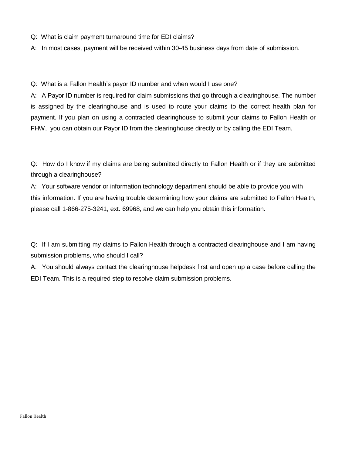- Q: What is claim payment turnaround time for EDI claims?
- A: In most cases, payment will be received within 30-45 business days from date of submission.

Q: What is a Fallon Health's payor ID number and when would I use one?

A: A Payor ID number is required for claim submissions that go through a clearinghouse. The number is assigned by the clearinghouse and is used to route your claims to the correct health plan for payment. If you plan on using a contracted clearinghouse to submit your claims to Fallon Health or FHW, you can obtain our Payor ID from the clearinghouse directly or by calling the EDI Team.

Q: How do I know if my claims are being submitted directly to Fallon Health or if they are submitted through a clearinghouse?

A: Your software vendor or information technology department should be able to provide you with this information. If you are having trouble determining how your claims are submitted to Fallon Health, please call 1-866-275-3241, ext. 69968, and we can help you obtain this information.

Q: If I am submitting my claims to Fallon Health through a contracted clearinghouse and I am having submission problems, who should I call?

A: You should always contact the clearinghouse helpdesk first and open up a case before calling the EDI Team. This is a required step to resolve claim submission problems.